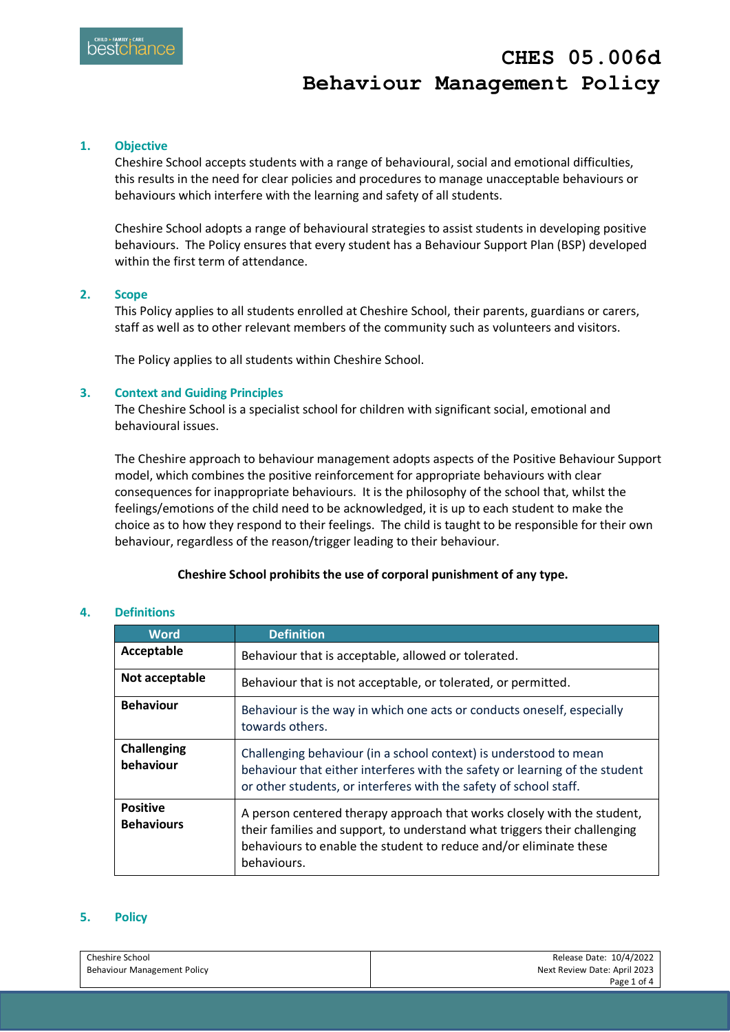# **CHES 05.006d Behaviour Management Policy**

## **1. Objective**

Cheshire School accepts students with a range of behavioural, social and emotional difficulties, this results in the need for clear policies and procedures to manage unacceptable behaviours or behaviours which interfere with the learning and safety of all students.

Cheshire School adopts a range of behavioural strategies to assist students in developing positive behaviours. The Policy ensures that every student has a Behaviour Support Plan (BSP) developed within the first term of attendance.

#### **2. Scope**

This Policy applies to all students enrolled at Cheshire School, their parents, guardians or carers, staff as well as to other relevant members of the community such as volunteers and visitors.

The Policy applies to all students within Cheshire School.

#### **3. Context and Guiding Principles**

The Cheshire School is a specialist school for children with significant social, emotional and behavioural issues.

The Cheshire approach to behaviour management adopts aspects of the Positive Behaviour Support model, which combines the positive reinforcement for appropriate behaviours with clear consequences for inappropriate behaviours. It is the philosophy of the school that, whilst the feelings/emotions of the child need to be acknowledged, it is up to each student to make the choice as to how they respond to their feelings. The child is taught to be responsible for their own behaviour, regardless of the reason/trigger leading to their behaviour.

## **Cheshire School prohibits the use of corporal punishment of any type.**

## **4. Definitions**

| <b>Word</b>                          | <b>Definition</b>                                                                                                                                                                                                                        |
|--------------------------------------|------------------------------------------------------------------------------------------------------------------------------------------------------------------------------------------------------------------------------------------|
| Acceptable                           | Behaviour that is acceptable, allowed or tolerated.                                                                                                                                                                                      |
| Not acceptable                       | Behaviour that is not acceptable, or tolerated, or permitted.                                                                                                                                                                            |
| <b>Behaviour</b>                     | Behaviour is the way in which one acts or conducts oneself, especially<br>towards others.                                                                                                                                                |
| <b>Challenging</b><br>behaviour      | Challenging behaviour (in a school context) is understood to mean<br>behaviour that either interferes with the safety or learning of the student<br>or other students, or interferes with the safety of school staff.                    |
| <b>Positive</b><br><b>Behaviours</b> | A person centered therapy approach that works closely with the student,<br>their families and support, to understand what triggers their challenging<br>behaviours to enable the student to reduce and/or eliminate these<br>behaviours. |

## **5. Policy**

| Cheshire School                    | Release Date: 10/4/2022      |
|------------------------------------|------------------------------|
| <b>Behaviour Management Policy</b> | Next Review Date: April 2023 |
|                                    | Page 1 of 4                  |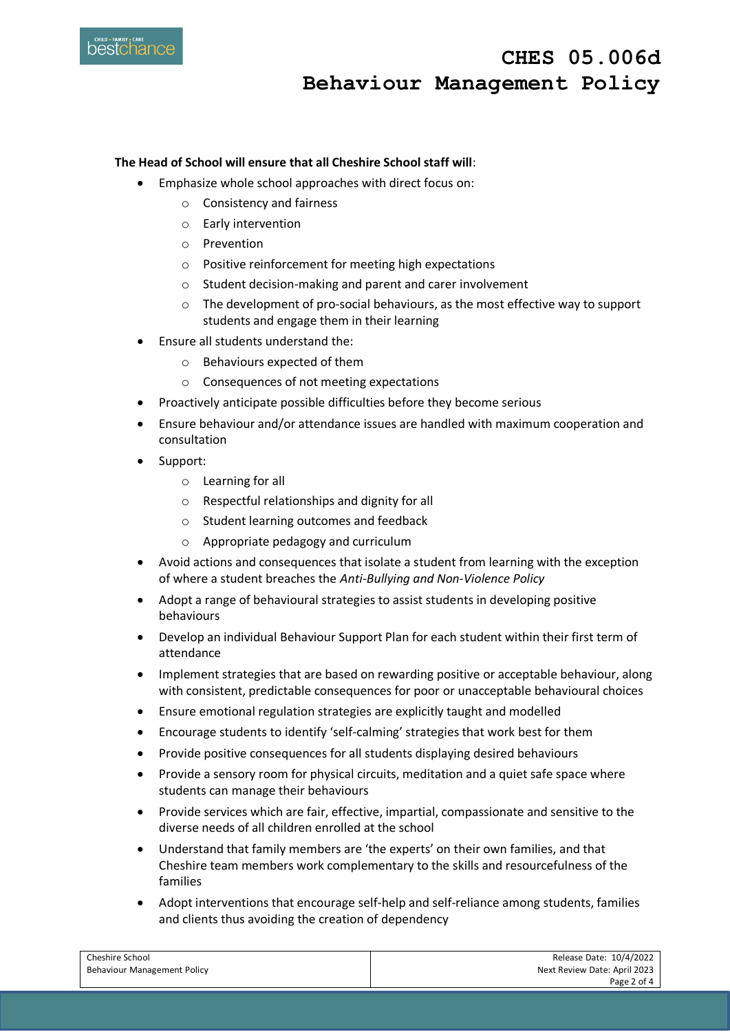

 **CHES 05.006d Behaviour Management Policy**

## **The Head of School will ensure that all Cheshire School staff will**:

- Emphasize whole school approaches with direct focus on:
	- o Consistency and fairness
	- o Early intervention
	- o Prevention
	- o Positive reinforcement for meeting high expectations
	- o Student decision-making and parent and carer involvement
	- $\circ$  The development of pro-social behaviours, as the most effective way to support students and engage them in their learning
- Ensure all students understand the:
	- o Behaviours expected of them
	- o Consequences of not meeting expectations
- Proactively anticipate possible difficulties before they become serious
- Ensure behaviour and/or attendance issues are handled with maximum cooperation and consultation
- Support:
	- o Learning for all
	- o Respectful relationships and dignity for all
	- o Student learning outcomes and feedback
	- o Appropriate pedagogy and curriculum
- Avoid actions and consequences that isolate a student from learning with the exception of where a student breaches the *Anti-Bullying and Non-Violence Policy*
- Adopt a range of behavioural strategies to assist students in developing positive behaviours
- Develop an individual Behaviour Support Plan for each student within their first term of attendance
- Implement strategies that are based on rewarding positive or acceptable behaviour, along with consistent, predictable consequences for poor or unacceptable behavioural choices
- Ensure emotional regulation strategies are explicitly taught and modelled
- Encourage students to identify 'self-calming' strategies that work best for them
- Provide positive consequences for all students displaying desired behaviours
- Provide a sensory room for physical circuits, meditation and a quiet safe space where students can manage their behaviours
- Provide services which are fair, effective, impartial, compassionate and sensitive to the diverse needs of all children enrolled at the school
- Understand that family members are 'the experts' on their own families, and that Cheshire team members work complementary to the skills and resourcefulness of the families
- Adopt interventions that encourage self-help and self-reliance among students, families and clients thus avoiding the creation of dependency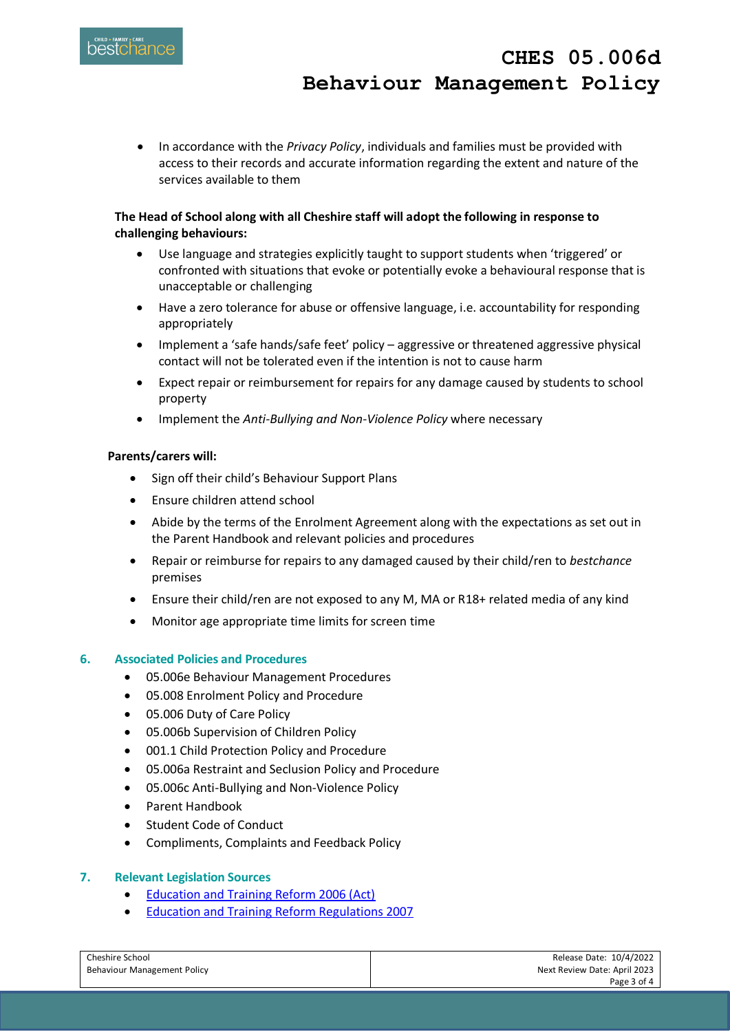In accordance with the *Privacy Policy*, individuals and families must be provided with access to their records and accurate information regarding the extent and nature of the services available to them

# **The Head of School along with all Cheshire staff will adopt the following in response to challenging behaviours:**

- Use language and strategies explicitly taught to support students when 'triggered' or confronted with situations that evoke or potentially evoke a behavioural response that is unacceptable or challenging
- Have a zero tolerance for abuse or offensive language, i.e. accountability for responding appropriately
- Implement a 'safe hands/safe feet' policy aggressive or threatened aggressive physical contact will not be tolerated even if the intention is not to cause harm
- Expect repair or reimbursement for repairs for any damage caused by students to school property
- Implement the *Anti-Bullying and Non-Violence Policy* where necessary

## **Parents/carers will:**

- Sign off their child's Behaviour Support Plans
- Ensure children attend school
- Abide by the terms of the Enrolment Agreement along with the expectations as set out in the Parent Handbook and relevant policies and procedures
- Repair or reimburse for repairs to any damaged caused by their child/ren to *bestchance* premises
- Ensure their child/ren are not exposed to any M, MA or R18+ related media of any kind
- Monitor age appropriate time limits for screen time

## **6. Associated Policies and Procedures**

- 05.006e Behaviour Management Procedures
- 05.008 Enrolment Policy and Procedure
- 05.006 Duty of Care Policy
- 05.006b Supervision of Children Policy
- 001.1 Child Protection Policy and Procedure
- 05.006a Restraint and Seclusion Policy and Procedure
- 05.006c Anti-Bullying and Non-Violence Policy
- Parent Handbook
- Student Code of Conduct
- Compliments, Complaints and Feedback Policy

## **7. Relevant Legislation Sources**

- [Education and Training Reform 2006 \(Act\)](https://www.legislation.vic.gov.au/in-force/acts/education-and-training-reform-act-2006/092)
- [Education and Training Reform Regulations 2007](https://www.google.com/search?q=education+and+training+reform+regulations+2007&rlz=1C1RXQR_en-GBAU995AU995&oq=education+and+training+reform+re&aqs=chrome.1.0i512l2j69i57j0i22i30l3j0i390l3.8630j0j15&sourceid=chrome&ie=UTF-8)

| Cheshire School             | Release Date: 10/4/2022      |
|-----------------------------|------------------------------|
| Behaviour Management Policy | Next Review Date: April 2023 |
|                             | Page 3 of 4                  |